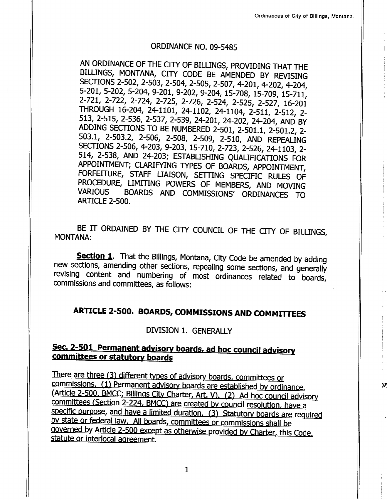PÉ.

### ORDINANCE NO. 09-5485

AN ORDINANCE OF THE CITY OF BILLINGS, PROVIDING THAT THE BILLINGS, MONTANA, CITY CODE BE AMENDED BY REVISING SECTIONS 2-502, 2-503, 2-504, 2-505, 2-507, 4-201, 4-202, 4-204, 5-201, 5-202, 5-204, 9-201, 9-202, 9-204, 15-708 2-721, 2-722, 2-724, 2-725, 2-726, 2-524, 2-525, 2-527, 16-201 THROUGH 16-204, 24-1101, 24-1102, 24-1104, 2-511, 2-512, 2-<br>513, 2-515, 2-536, 2-537, 2-539, 24-201, 24-202, 24-204, AND BY ADDING SECTIONS TO BE NUMBERED 2-501, 2-501.1, 2-501.2, 2-503.1, 2-503.2, 2-506, 2-508, 2-509, 2-510, AND REPEALING SECTIONS 2-506, 4-203, 9-203, 15-710, 2-723, 2-526, 24-1103, 2-514, 2-538, AND 24-203; ESTABLISHING QUALIFICATIONS FOR APPOINTMENT; CLARIFYING TYPES OF BOARDS, APPOINTMENT, FORFEITURE, STAFF LIAISON, SETTING SPECIFIC RULES OF PROCEDURE, LIMITING POWERS OF MEMBERS, AND MOVING<br>VARIOUS BOARDS AND COMMISSIONS' ORDINANCES TO ARTCLE 2-500.

BE IT ORDAINED BY THE CITY COUNCIL OF THE CITY OF BILLINGS, MONTANA:

Section 1. That the Billings, Montana, City Code be amended by adding new sections, amending other sections, repealing some sections, and generally revising content and numbering of most ordinances related to boards, commissions and committees, as follows: numbering of most ordinances related to consing content and numbering or most ordinances related to boards,<br>commissions and committees, as follows:

# ARTICLE 2-500. BoARDs, coMMIssIoNs AND coMMITTEEs

### DIVISION 1. GENERALLY

# Sec. 2-501 Permanent advisory boards, ad hoc council advisory committees or statutory boards

There are three (3) different types of advisory boards, committees or commissions. (1) Permanent advisory boards are established by ordinance. (Article 2-500, BMCC; Billings City Charter, Art. V). (2) Ad hoc council advisory committees (Section 2-224, BMCC) are created by council resolution, have a specific purpose, and have a limited duration. (3) Statutory boards are required by state or federal law. All boards, committees or commissions shall be governed by Article 2-500 except as otherwise provided by Charter, this Code, statute or interlocal agreement.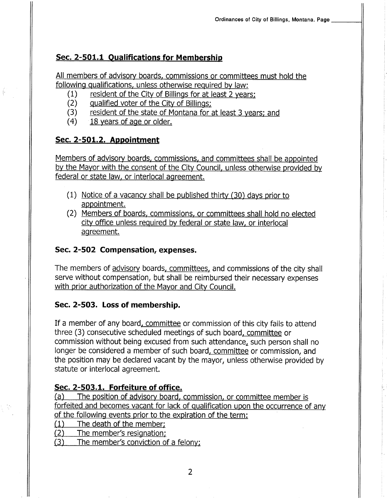# Sec. 2-501.1 Oualifications for Membership

All members of advisory boards, commissions or committees must hold the

- 
- 
- following qualifications, unless otherwise required by law:<br>
(1) resident of the City of Billings for at least 2 years;<br>
(2) qualified voter of the City of Billings;<br>
(3) resident of the state of Montana for at least 3 yea
	-

# Sec. 2-501.2. Appointment

Members of advisory boards, commissions, and committees shall be appointed by the Mayor with the consent of the City Council, unless otherwise provided by federal or state law. or interlocal agreement.

- (1) Notice of a vacancy shall be published thirty (30) days prior to appointment.
- (2) Members of boards, commissions, or committees shall hold no elected city office unless required by federal or state law. or interlocal agreement.

# Sec. 2-502 Compensation, expenses.

The members of advisory boards, committees, and commissions of the city shall serve without compensation, but shall be reimbursed their necessary expenses with prior authorization of the Mayor and City Council.

# Sec. 2-503. Loss of membership.

If a member of any board, committee or commission of this city fails to attend three (3) consecutive scheduled meetings of such board, committee or commission without being excused from such attendance, such person shall no longer be considered a member of such board, committee or commission, and the position may be declared vacant by the mayor, unless otherwise provided by statute or interlocal agreement.

Sec. 2-503.1. Forfeiture of office.<br>(a) The position of advisory board, commission, or committee member is forfeited and becomes vacant for lack of gualification upon the occurrence of any of the following events prior to the expiration of the term:<br>
(1) The death of the member;<br>
(2) The member's resignation;<br>
(3) The member's conviction of a felony;

- 
- 
-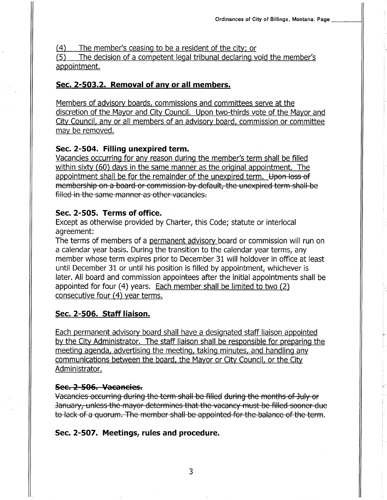$(4)$  The member's ceasing to be a resident of the city; or (5) The decision of a competent legal tribunal declaring void the member's appointment.

# Sec. 2-503,2. Removal of anv or all members.

Members of advisory boards. commissions and committees serve at the discretion of the Mayor and City Council. Upon two-thirds vote of the Mayor and City Council, any or all members of an advisory board, commission or committee may be removed.

# Sec. 2-504. Filling unexpired term.

Vacancies occurring for any reason during the member's term shall be filled within sixty (60) days in the same manner as the original appointment. The appointment shall be for the remainder of the unexpired term. Upon loss of membership on a board or commission by default, the unexpired term shall be filled in the same manner as other vacancies.

# Sec. 2-505. Terms of office.

Except as otherwise provided by Charter, this Code; statute or interlocal agreement:

The terms of members of a permanent advisory board or commission will run on a calendar year basis. During the transition to the calendar year terms, any member whose term expires prior to December 31 will holdover in office at least until December 31 or until his position is filled by appointment, whichever is later. All board and commission appointees after the initial appointments shall be appointed for four (4) years. Each member shall be limited to two (2) consecutive four (4) year terms.

# Sec. 2-506. Staff liaison.

Each permanent advisory board shall have a designated staff liaison appointed by the City Administrator. The staff liaison shall be responsible for preparing the meeting agenda, advertising the meeting. taking minutes, and handling any communications between the board, the Mayor or City Council, or the City Administrator.

Sec. 2-506. Vacancies.<br>Vacancies occurring during the term shall be filled during the months of July or January, unless the mayor determines that the vacancy must be filled sooner due to lack of a quorum. The member shall be appointed for the balance of the term.

# Sec. 2-507. Meetings, rules and procedure.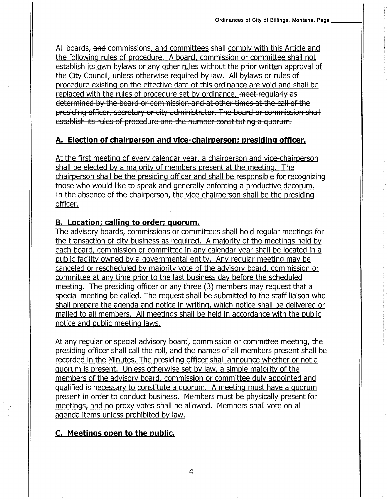All boards, and commissions, and committees shall comply with this Article and the following rules of procedure. A board, commission or committee shall not establish its own bylaws or any other rules without the prior written approval of the City Council, unless otherwise required by law. All bylaws or rules of procedure existing on the effective date of this ordinance are void and shall be replaced with the rules of procedure set by ordinance. meet-regularly as determined by the board or commission and at other times at the call of the presiding officer, secretary or city administrator. The board or commission shall establish its rules of procedure and the number constituting a quorum.

### A. Election of chairperson and vice-chairperson; presiding officer.

At the first meeting of every calendar year, a chairperson and vice-chairperson shall be elected by a majority of members present at the meetinq. The chairperson shall be the presiding officer and shall be responsible for recognizing those who would like to speak and generally enforcing a productive decorum. In the absence of the chairperson. the vice-chairperson shall be the presiding officer.

### B. Location; callinq to order; quorum.

The advisory boards, commissions or committees shall hold reqular meetinqs for the transaction of city business as required. A majority of the meetings held by each board, commission or committee in any calendar year shall be located in <sup>a</sup> public facility owned by a governmental entity. Any regular meeting may be canceled or rescheduled by majority vote of the advisory board, commission or committee at any time prior to the last business day before the scheduled meeting. The presiding officer or any three (3) members may request that a special meeting be called. The request shall be submitted to the staff liaison who shall prepare the agenda and notice in writing, which notice shall be delivered or mailed to all members. All meetings shall be held in accordance with the public notice and public meeting laws.

At any regular or special advisory board. commission or committee meeting, the presiding officer shall call the roll. and the names of all members present shall be recorded in the Minutes, The presiding officer shall announce whether or not a quorum is present. Unless otherwise set by law, a simple majority of the members of the advisory board, commission or committee duly appointed and qualified is necessary to constitute a quorum. A meeting must have a quorum present in order to conduct business. Members must be physically present for meetings, and no proxy votes shall be allowed. Members shall vote on all agenda items unless prohibited by law.

# C. Meetings open to the public.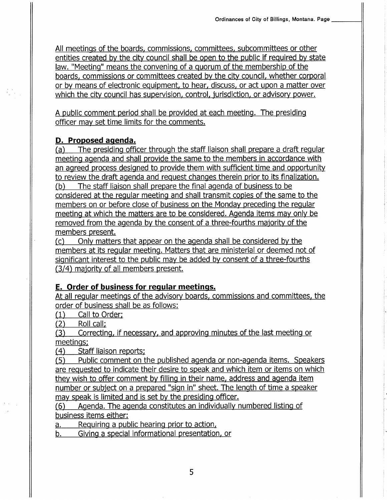All meetings of the boards, commissions, committees, subcommittees or other entities created by the city council shall be open to the public if required by state law. "Meeting" means the convening of a quorum of the membership of the boards. commissions or committees created by the city council, whether corporal or by means of electronic equipment. to hear. discuss. or act upon a matter over which the city council has supervision, control, jurisdiction, or advisory power.

A public comment period shall be provided at each meeting. The presiding officer may set time limits for the comments.

**D. Proposed agenda.**<br>(a) The presiding officer through the staff liaison shall prepare a draft regular meeting agenda and shall provide the same to the members in accordance with an agreed process desiqned to provide them with sufticient time and opportunity to review the draft agenda and request changes therein prior to its finalization.<br>(b) The staff liaison shall prepare the final agenda of business to be considered at the reqular meeting and shall transmit copies of the same to the members on or before close of business on the Monday preceding the regular meeting at which the matters are to be considered. Agenda items may only be removed from the agenda by the consent of a three-fourths majority of the members present.

(c) Only matters that appear on the agenda shall be considered by the members at its regular meeting. Matters that are ministerial or deemed not of significant interest to the public may be added by consent of a three-fourths (3/4) majority of all members present.

# E. Order of business for reqular meetinqs.

At all regular meetings of the advisory boards. commissions and committees, the

order of business shall be as follows:<br>
(1) Call to Order;<br>
(2) Roll call;<br>
(3) Correcting, if necessary, and approving minutes of the last meeting or

meetings;<br>(4) Staff liaison reports;<br>(5) Public comment on the published agenda or non-agenda items. Speakers are requested to indicate their desire to speak and which item or items on which they wish to offer comment by filling in their name, address and agenda item number or subject on a prepared "sign in" sheet. The length of time a speaker may speak is limited and is set by the presiding officer.<br>(6) Agenda. The agenda constitutes an individually numbered listing of

business items either:

a. Requiring a public hearing prior to action,

b. Giving a special informational presentation. or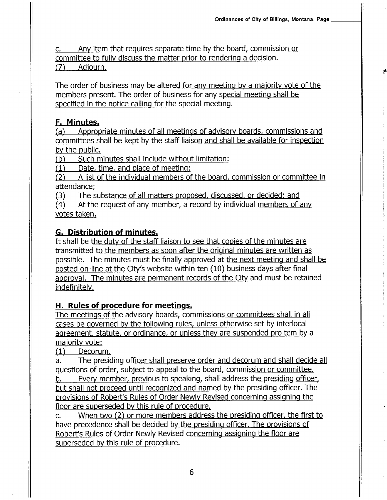Ê

c. Any item that requires separate time by the board. commission or committee to fully discuss the matter prior to rendering a decision.<br>(7) Adjourn.

The order of business may be altered for any meeting by a majority vote of the members present. The order of business for any special meeting shall be specified in the notice calling for the special meeting.

**F. Minutes.**<br>(a) Appropriate minutes of all meetings of advisory boards, commissions and committees shall be kept by the staff liaison and shall be available for inspection by the public.

(b) Such minutes shall include without limitation:<br>(1) Date, time, and place of meeting;<br>(2) A list of the individual members of the board, commission or committee in

attendance;<br>(3) The substance of all matters proposed, discussed, or decided; and<br>(4) At the request of any member, a record by individual members of any

votes taken.

# G. Distribution of minutes.

It shall be the duty of the staff liaison to see that copies of the minutes are transmitted to the members as soon after the original minutes are written as possible. The minutes must be finally approved at the next meeting and shall be posted on-line at the City's website within ten (10) business days after final approval. The minutes are permanent records of the City and must be retained indefinitely.

# H, Rules of procedure for meetinqs.

The meetings of the advisory boards, commissions or committees shall in all cases be governed by the following rules, unless otherwise set by interlocal agreement, statute, or ordinance. or unless they are suspended pro tem by <sup>a</sup>

majority vote:<br>(1) Decorum.

a. The presiding officer shall preserve order and decorum and shall decide all questions of order, subject to appeal to the board. commission or committee.

b. Every member, previous to speaking, shall address the presiding officer. but shall not proceed until recognized and named by the presiding officer. The provisions of Robert's Rules of Order Newly Revised concerning assigning the floor are superseded by this rule of procedure.

c. When two (2) or more members address the presiding officer, the first to have precedence shall be decided by the presiding officer. The provisions of Robert's Rules of Order Newly Revised concerning assigning the floor are superseded by this rule of procedure.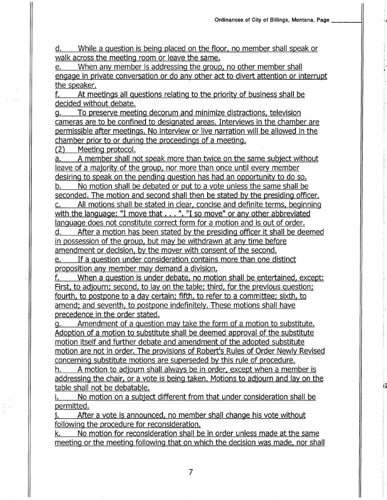rã

d. While a question is being placed on the floor, no member shall speak or walk across the meeting room or leave the same.

e. When any member is addressing the group, no other member shall engage in private conversation or do any other act to divert attention or interrupt the speaker.

f. At meetings all questions relating to the priority of business shall be decided without debate.

g. To preserve meeting decorum and minimize distractions. television cameras are to be confined to desiqnated areas. Interviews in the chamber are permissible after meetings. No interview or live narration will be allowed in the chamber prior to or during the proceedings of a meeting.<br>(2) Meeting protocol.

a. <sup>A</sup>member shall not speak more than twice on the same subject without leave of a majority of the group, nor more than once until every member desiring to speak on the pending question has had an opportunity to do so. b. No motion shall be debated or put to a vote unless the same shall be

seconded. The motion and second shall then be stated by the presiding officer. c. All motions shall be stated in clear, concise and definite terms. beginning

with the language: "I move that . . . ". "I so move" or any other abbreviated language does not constitute correct form for a motion and is out of order.

d. After a motion has been stated by the presidinq officer it shall be deemed in possession of the group, but may be withdrawn at any time before amendment or decision, by the mover with consent of the second.

e. If a question under consideration contains more than one distinct proposition any member may demand a division.

f. When a question is under debate. no motion shall be enteftained, except: First, to adjourn; second, to lay on the table; third, for the previous question; fourth, to postpone to a day certain; fifth, to refer to a committee; sixth, to amend; and seventh, to postpone indefinitely. These motions shall have precedence in the order stated.

g. Amendment of a question may take the form of a motion to substitute. Adoption of a motion to substitute shall be deemed approval of the substitute motion itself and further debate and amendment of the adopted substitute motion are not in order. The provisions of Robert's Rules of Order Newly Revised concerning substitute motions are superseded by this rule of procedure.

h. A motion to adjourn shall always be in order, except when a member is addressing the chair, or a vote is being taken. Motions to adjourn and lay on the table shall not be debatable.

i. No motion on a subject different from that under consideration shall be permitted.<br>i. After a vote is announced, no member shall change his vote without

following the procedure for reconsideration.

k. No motion for reconsideration shall be in order unless made at the same meeting or the meeting following that on which the decision was made, nor shall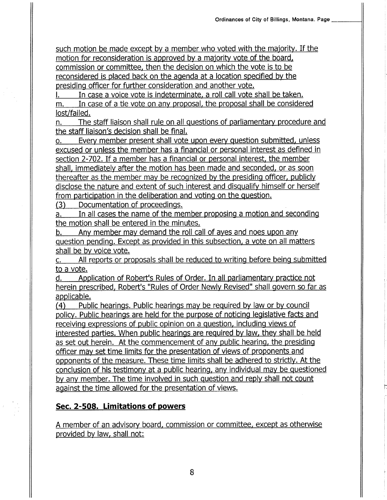such motion be made except by a member who voted with the majority. If the motion for reconsideration is approved by a majority vote of the board. commission or committee. then the decision on which the vote is to be reconsidered is placed back on the agenda at a location specified by the presiding officer for further consideration and another vote.

In case a voice vote is indeterminate, a roll call vote shall be taken.

m. In case of a tie vote on any proposal, the proposal shall be considered lost/failed.

n. The staff liaison shall rule on all questions of parliamentary procedure and the staff liaison's decision shall be final.

o. Every member present shall vote upon every question submitted, unless excused or unless the member has a financial or personal interest as defined in section 2-702. If a member has a financial or personal interest. the member shall, immediately after the motion has been made and seconded, or as soon thereafter as the member may be recognized by the presiding officer. publicly disclose the nature and extent of such interest and disqualify himself or herself from participation in the deliberation and voting on the question.

(3) Documentation of proceedings.

a. In all cases the name of the member proposing a motion and seconding the motion shall be entered in the minutes.

b. Any member may demand the roll call of ayes and noes upon any question pending. Except as provided in this subsection, a vote on all matters shall be bv voice vote.

c. All reports or proposals shall be reduced to writing before being submitted to a vote.

d. Application of Robert's Rules of Order. In all parliamentary practice not herein prescribed, Robert's "Rules of Order Newly Revised" shall govern so far as

applicable.<br>(4) Public hearings. Public hearings may be required by law or by council policy. Public hearings are held for the purpose of noticing legislative facts and receiving expressions of public opinion on a question, including views of interested parties. When public hearings are required by law, they shall be held as set out herein. At the commencement of any public hearing, the presiding officer mav set time limits for the presentation of views of proponents and opponents of the measure. These time limits shall be adhered to strictly. At the conclusion of his testimony at a public hearing, any individual may be questioned by any member. The time involved in such question and reply shall not count against the time allowed for the presentation of views.

# Sec, 2-508. Limitations of powers

A member of an advisory board, commission or committee, except as otherwise provided by law, shall not: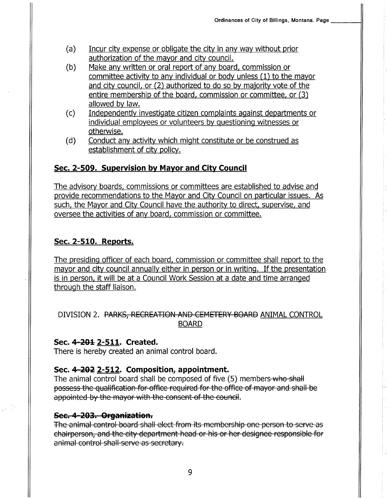- (a) Incur city expense or obligate the city in any way without prior authorization of the mayor and city council.<br>(b) Make any written or oral report of any board, commission or
- committee activity to any individual or body unless (1) to the mayor and city council, or (2) authorized to do so by majority vote of the entire membership of the board, commission or committee. or (3)
- allowed by law.<br>(c) Independently investigate citizen complaints against departments or individual employees or volunteers by questioninq witnesses or
- otherwise.<br>(d) Conduct any activity which might constitute or be construed as establishment of city policy.

# Sec. 2-509. Supervision by Mayor and City Council

The advisory boards. commissions or committees are established to advise and provide recommendations to the Mayor and City Council on pafticular issues. As such, the Mayor and City Council have the authority to direct, supervise, and oversee the activities of any board, commission or committee.

# Sec. 2-510. Reports.

The presiding officer of each board, commission or committee shall report to the mayor and city council annually either in person or in writing. If the presentation is in person, it will be at a Council Work Session at a date and time arranged through the staff liaison.

# DIVISION 2. PARKS, RECREATION AND CEMETERY BOARD ANIMAL CONTROL BOARD

### Sec. 4-201 2-511. Created.

There is hereby created an animal control board.

# Sec. 4-202 2-512. Composition, appointment.

The animal control board shall be composed of five (5) members-who-shall possess the qualification for office required for the office of mayor and shall be appointed by the mayor with the consent of the council.

Sec. 4-203. Organization.<br>The animal control board shall elect from its membership one person to serve as chairperson, and the city department head or his or her designee responsible for animal control shall serve as secretary.

9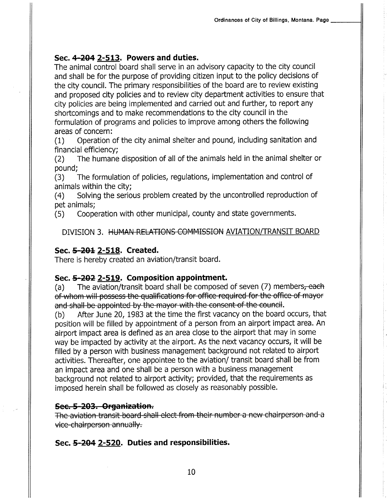# Sec. 4-204 2-513. Powers and duties.

The animal control board shall serve in an advisory capacity to the city council and shall be for the purpose of providing citizen input to the policy decisions of the city council. The primary responsibilities of the board are to review existing and proposed city policies and to review city department activities to ensure that city policies are being implemented and carried out and further, to report any shortcomings and to make recommendations to the city council in the formulation of programs and policies to improve among others the following areas of concern:<br>(1) Operation of the city animal shelter and pound, including sanitation and

financial efficiency;<br>(2) The humane disposition of all of the animals held in the animal shelter or pound;

(3) The formulation of policies, regulations, implementation and control of

animals within the city;<br>(4) Solving the serious problem created by the uncontrolled reproduction of

pet animals;<br>(5) Cooperation with other municipal, county and state governments.

DIVISION 3. HUMAN RELATIONS COMMISSION AVIATION/TRANSIT BOARD

# Sec. 5-201 2-518. Created.

There is hereby created an aviation/transit board.

Sec. 5-202 2-519. Composition appointment.<br>(a) The aviation/transit board shall be composed of seven (7) members, each<br>of whom will possess the qualifications for office required for the office of mayor and shall be appointed by the mayor with the consent of the council.<br>(b) After June 20, 1983 at the time the first vacancy on the board occurs, that

position will be filled by appointment of a person from an airport impact area. An airport impact area is defined as an area close to the airport that may in some way be impacted by activity at the airport. As the next vacancy occurs, it will be filled by a person with business management background not related to airport activities. Thereafter, one appointee to the aviation/ transit board shall be from an impact area and one shall be a person with a business management background not related to airport activity; provided, that the requirements as imposed herein shall be followed as closely as reasonably possible.

# Sec. 5-203. Organization.

The aviation transit board shall eleet from their number a new ehairperson and <sup>a</sup> vice-chairperson annually.

# Sec. 5-204 2-520. Duties and responsibilities.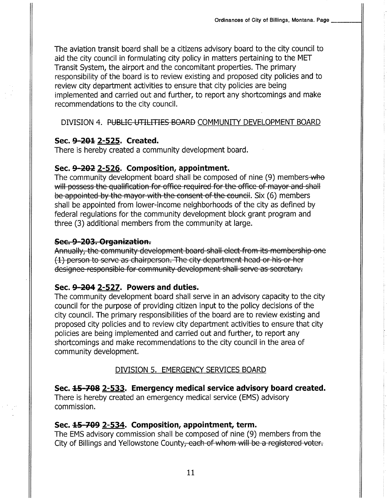The aviation transit board shall be a citizens advisory board to the city council to aid the city council in formulating city policy in matters pertaining to the MET Transit System, the airport and the concomitant properties. The primary responsibility of the board is to review existing and proposed city policies and to review city department activities to ensure that city policies are being implemented and carried out and further, to report any shortcomings and make recommendations to the city council.

### DIVISION 4. PUBLIC UTILITIES BOARD COMMUNITY DEVELOPMENT BOARD

### Sec. 9-201 2-525. Created.

There is hereby created a community development board.

### Sec. 9-202 2-526. Composition, appointment.

The community development board shall be composed of nine (9) members-who will possess the qualification for office required for the office of mayor and shall be appointed by the mayor with the consent of the council. Six (6) members shall be appointed from lower-income neighborhoods of the city as defined by federal regulations for the community development block grant program and three (3) additional members from the community at large.

### Sec. 9-203. Organization.

Annually, the community development board shall elect from its membership one (1) person to serve as chairperson. The city department head or his or her designee-responsible for community development shall serve as secretary.

### Sec. 9-204 2-527. Powers and duties.

The community development board shall serve in an advisory capacity to the city council for the purpose of providing citizen input to the policy decisions of the city council. The primary responsibilities of the board are to review existing and proposed city policies and to review city department activities to ensure that city policies are being implemented and carried out and further, to report any shortcomings and make recommendations to the city council in the area of community development.

### DIVISION 5. EMERGENCY SERVICES BOARD

Sec. 45-708 2-533. Emergency medical service advisory board created. There is hereby created an emergency medical service (EMS) advisory commission.

### Sec. 15-709 2-534. Composition, appointment, term.

The EMS advisory commission shall be composed of nine (9) members from the City of Billings and Yellowstone County, each of whom will be a registered voter.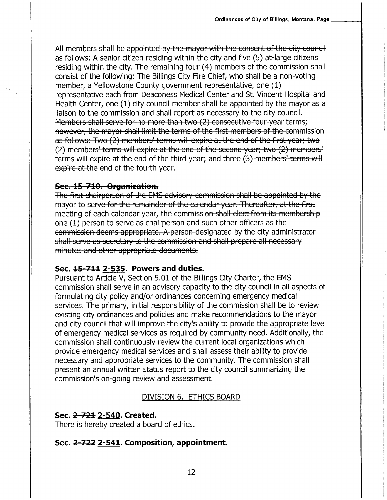All members shall be appointed by the mayor with the consent of the city council as follows: A senior citizen residing within the city and five (5) at-large citizens residing within the city. The remaining four (4) members of the commission shall consist of the following: The Billings City Fire Chief, who shall be a non-voting member, a Yellowstone County government representative, one (1) representative each from Deaconess Medical Center and St. Vincent Hospital and Health Center, one (1) city council member shall be appointed by the mayor as <sup>a</sup> liaison to the commission and shall report as necessary to the city council, Members shall serve for no more than two (2) consecutive four-year terms; however, the mayor shall limit the terms of the first members of the commission<br>as follows: Two (2) members' terms will expire at the end of the first year; two (2) members' terms will expire at the end of the second year; two (2) members' terms will expire at the end of the third year; and three (3) members' terms will expire at the end of the fourth year.

Sec. 15-710. Organization.<br>The first chairperson of the EMS advisory commission shall be appointed by the mayor to serve for the remainder of the calendar year. Thereafter, at the first meeting of each calendar year, the commission shall elect from its membership one (1) person to serve as chairperson and such other officers as the commission deems appropriate. A person designated by the city administrator shall serve as secretary to the commission and shall prepare all necessary minutes and other appropriate documents.

### Sec. 15-711 2-535. Powers and duties.

Pursuant to Article V, Section 5.01 of the Billings City Charter, the EMS commission shall serve in an advisory capacity to the city council in all aspects of formulating city policy and/or ordinances concerning emergency medical services. The primary, initial responsibility of the commission shall be to review existing city ordinances and policies and make recommendations to the mayor and city council that will improve the city's ability to provide the appropriate level of emergency medical services as required by community need. Additionally, the commission shall continuously review the current local organizations which provide emergency medical services and shall assess their ability to provide necessary and appropriate services to the community. The commission shall present an annual written status report to the city council summarizing the commission's on-going review and assessment.

### DIVISION 6. ETHICS BOARD

### Sec. 2-721 2-540. Created.

There is hereby created a board of ethics.

### Sec. 2-722 2-541. Composition, appointment.